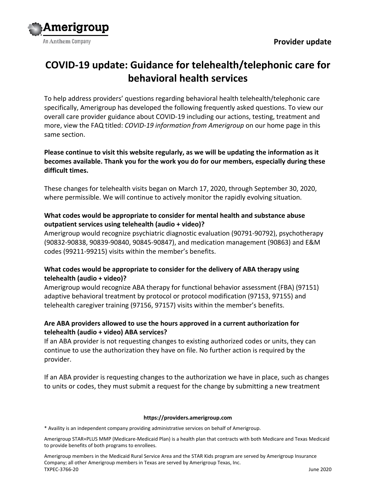

# **COVID-19 update: Guidance for telehealth/telephonic care for behavioral health services**

To help address providers' questions regarding behavioral health telehealth/telephonic care specifically, Amerigroup has developed the following frequently asked questions. To view our overall care provider guidance about COVID-19 including our actions, testing, treatment and more, view the FAQ titled: *COVID-19 information from Amerigroup* on our home page in this same section.

# **Please continue to visit this website regularly, as we will be updating the information as it becomes available. Thank you for the work you do for our members, especially during these difficult times.**

These changes for telehealth visits began on March 17, 2020, through September 30, 2020, where permissible. We will continue to actively monitor the rapidly evolving situation.

# **What codes would be appropriate to consider for mental health and substance abuse outpatient services using telehealth (audio + video)?**

Amerigroup would recognize psychiatric diagnostic evaluation (90791-90792), psychotherapy (90832-90838, 90839-90840, 90845-90847), and medication management (90863) and E&M codes (99211-99215) visits within the member's benefits.

# **What codes would be appropriate to consider for the delivery of ABA therapy using telehealth (audio + video)?**

Amerigroup would recognize ABA therapy for functional behavior assessment (FBA) (97151) adaptive behavioral treatment by protocol or protocol modification (97153, 97155) and telehealth caregiver training (97156, 97157) visits within the member's benefits.

# **Are ABA providers allowed to use the hours approved in a current authorization for telehealth (audio + video) ABA services?**

If an ABA provider is not requesting changes to existing authorized codes or units, they can continue to use the authorization they have on file. No further action is required by the provider.

If an ABA provider is requesting changes to the authorization we have in place, such as changes to units or codes, they must submit a request for the change by submitting a new treatment

#### **https://providers.amerigroup.com**

\* Availity is an independent company providing administrative services on behalf of Amerigroup.

Amerigroup STAR+PLUS MMP (Medicare-Medicaid Plan) is a health plan that contracts with both Medicare and Texas Medicaid to provide benefits of both programs to enrollees.

Amerigroup members in the Medicaid Rural Service Area and the STAR Kids program are served by Amerigroup Insurance Company; all other Amerigroup members in Texas are served by Amerigroup Texas, Inc. TXPEC-3766-20 June 2020